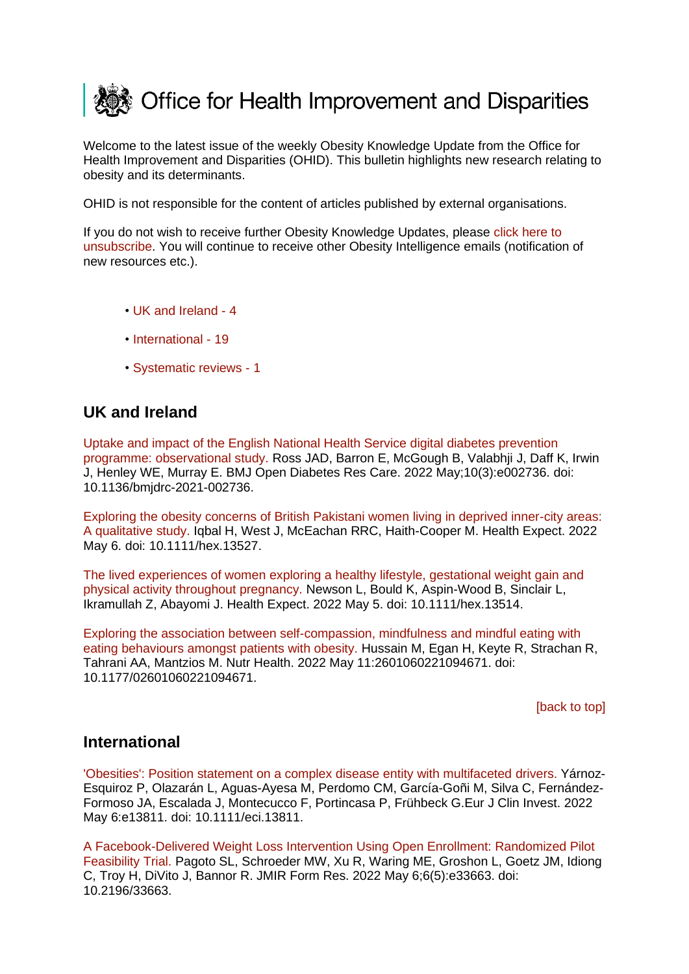<span id="page-0-2"></span>

Welcome to the latest issue of the weekly Obesity Knowledge Update from the Office for Health Improvement and Disparities (OHID). This bulletin highlights new research relating to obesity and its determinants.

OHID is not responsible for the content of articles published by external organisations.

If you do not wish to receive further Obesity Knowledge Updates, please [click here to](mailto:ObesityIntelligence@phe.gov.uk?subject=Unsubscribe%20from%20Knowledge%20Update%20mailing%20list)  [unsubscribe.](mailto:ObesityIntelligence@phe.gov.uk?subject=Unsubscribe%20from%20Knowledge%20Update%20mailing%20list) You will continue to receive other Obesity Intelligence emails (notification of new resources etc.).

- • [UK and Ireland -](#page-0-0) 4
- [International -](#page-0-1) 19
- [Systematic reviews -](#page-2-0) 1

## <span id="page-0-0"></span>**UK and Ireland**

[Uptake and impact of the English National Health Service digital diabetes prevention](https://eur03.safelinks.protection.outlook.com/?url=https%3A%2F%2Fpubmed.ncbi.nlm.nih.gov%2F35504697%2F&data=05%7C01%7CMaggie.Graham%40dhsc.gov.uk%7C413d873933584916ad2408da4d3288dd%7C61278c3091a84c318c1fef4de8973a1c%7C1%7C0%7C637907176673646019%7CUnknown%7CTWFpbGZsb3d8eyJWIjoiMC4wLjAwMDAiLCJQIjoiV2luMzIiLCJBTiI6Ik1haWwiLCJXVCI6Mn0%3D%7C3000%7C%7C%7C&sdata=xlV%2BdZZB9SWx59LB3BVjagHb131v0Fr5pPA8ly9JuhI%3D&reserved=0)  [programme: observational study. R](https://eur03.safelinks.protection.outlook.com/?url=https%3A%2F%2Fpubmed.ncbi.nlm.nih.gov%2F35504697%2F&data=05%7C01%7CMaggie.Graham%40dhsc.gov.uk%7C413d873933584916ad2408da4d3288dd%7C61278c3091a84c318c1fef4de8973a1c%7C1%7C0%7C637907176673646019%7CUnknown%7CTWFpbGZsb3d8eyJWIjoiMC4wLjAwMDAiLCJQIjoiV2luMzIiLCJBTiI6Ik1haWwiLCJXVCI6Mn0%3D%7C3000%7C%7C%7C&sdata=xlV%2BdZZB9SWx59LB3BVjagHb131v0Fr5pPA8ly9JuhI%3D&reserved=0)oss JAD, Barron E, McGough B, Valabhji J, Daff K, Irwin J, Henley WE, Murray E. BMJ Open Diabetes Res Care. 2022 May;10(3):e002736. doi: 10.1136/bmjdrc-2021-002736.

[Exploring the obesity concerns of British Pakistani women living in deprived inner-city areas:](https://eur03.safelinks.protection.outlook.com/?url=https%3A%2F%2Fpubmed.ncbi.nlm.nih.gov%2F35514272%2F&data=05%7C01%7CMaggie.Graham%40dhsc.gov.uk%7C413d873933584916ad2408da4d3288dd%7C61278c3091a84c318c1fef4de8973a1c%7C1%7C0%7C637907176673646019%7CUnknown%7CTWFpbGZsb3d8eyJWIjoiMC4wLjAwMDAiLCJQIjoiV2luMzIiLCJBTiI6Ik1haWwiLCJXVCI6Mn0%3D%7C3000%7C%7C%7C&sdata=FpaYgGtEJuWFtvZLA%2BNWCHOLCaoyUVqQtSxFZCEpSuQ%3D&reserved=0)  [A qualitative study. I](https://eur03.safelinks.protection.outlook.com/?url=https%3A%2F%2Fpubmed.ncbi.nlm.nih.gov%2F35514272%2F&data=05%7C01%7CMaggie.Graham%40dhsc.gov.uk%7C413d873933584916ad2408da4d3288dd%7C61278c3091a84c318c1fef4de8973a1c%7C1%7C0%7C637907176673646019%7CUnknown%7CTWFpbGZsb3d8eyJWIjoiMC4wLjAwMDAiLCJQIjoiV2luMzIiLCJBTiI6Ik1haWwiLCJXVCI6Mn0%3D%7C3000%7C%7C%7C&sdata=FpaYgGtEJuWFtvZLA%2BNWCHOLCaoyUVqQtSxFZCEpSuQ%3D&reserved=0)qbal H, West J, McEachan RRC, Haith-Cooper M. Health Expect. 2022 May 6. doi: 10.1111/hex.13527.

The lived experiences of women exploring a [healthy lifestyle, gestational weight gain and](https://eur03.safelinks.protection.outlook.com/?url=https%3A%2F%2Fpubmed.ncbi.nlm.nih.gov%2F35514097%2F&data=05%7C01%7CMaggie.Graham%40dhsc.gov.uk%7C413d873933584916ad2408da4d3288dd%7C61278c3091a84c318c1fef4de8973a1c%7C1%7C0%7C637907176673646019%7CUnknown%7CTWFpbGZsb3d8eyJWIjoiMC4wLjAwMDAiLCJQIjoiV2luMzIiLCJBTiI6Ik1haWwiLCJXVCI6Mn0%3D%7C3000%7C%7C%7C&sdata=CH5dnm%2F5cfaeSRjRwztiZqm2W%2B51N2oAfjM4G3lDJo4%3D&reserved=0)  [physical activity throughout pregnancy. N](https://eur03.safelinks.protection.outlook.com/?url=https%3A%2F%2Fpubmed.ncbi.nlm.nih.gov%2F35514097%2F&data=05%7C01%7CMaggie.Graham%40dhsc.gov.uk%7C413d873933584916ad2408da4d3288dd%7C61278c3091a84c318c1fef4de8973a1c%7C1%7C0%7C637907176673646019%7CUnknown%7CTWFpbGZsb3d8eyJWIjoiMC4wLjAwMDAiLCJQIjoiV2luMzIiLCJBTiI6Ik1haWwiLCJXVCI6Mn0%3D%7C3000%7C%7C%7C&sdata=CH5dnm%2F5cfaeSRjRwztiZqm2W%2B51N2oAfjM4G3lDJo4%3D&reserved=0)ewson L, Bould K, Aspin-Wood B, Sinclair L, Ikramullah Z, Abayomi J. Health Expect. 2022 May 5. doi: 10.1111/hex.13514.

[Exploring the association between self-compassion, mindfulness and mindful eating with](https://eur03.safelinks.protection.outlook.com/?url=https%3A%2F%2Fpubmed.ncbi.nlm.nih.gov%2F35538911%2F&data=05%7C01%7CMaggie.Graham%40dhsc.gov.uk%7C413d873933584916ad2408da4d3288dd%7C61278c3091a84c318c1fef4de8973a1c%7C1%7C0%7C637907176673646019%7CUnknown%7CTWFpbGZsb3d8eyJWIjoiMC4wLjAwMDAiLCJQIjoiV2luMzIiLCJBTiI6Ik1haWwiLCJXVCI6Mn0%3D%7C3000%7C%7C%7C&sdata=SuU1%2B%2BWK5j1WOtRbYiEU%2BzN0hbMVOgK254BR0%2F2XlF4%3D&reserved=0)  [eating behaviours amongst patients with obesity. H](https://eur03.safelinks.protection.outlook.com/?url=https%3A%2F%2Fpubmed.ncbi.nlm.nih.gov%2F35538911%2F&data=05%7C01%7CMaggie.Graham%40dhsc.gov.uk%7C413d873933584916ad2408da4d3288dd%7C61278c3091a84c318c1fef4de8973a1c%7C1%7C0%7C637907176673646019%7CUnknown%7CTWFpbGZsb3d8eyJWIjoiMC4wLjAwMDAiLCJQIjoiV2luMzIiLCJBTiI6Ik1haWwiLCJXVCI6Mn0%3D%7C3000%7C%7C%7C&sdata=SuU1%2B%2BWK5j1WOtRbYiEU%2BzN0hbMVOgK254BR0%2F2XlF4%3D&reserved=0)ussain M, Egan H, Keyte R, Strachan R, Tahrani AA, Mantzios M. Nutr Health. 2022 May 11:2601060221094671. doi: 10.1177/02601060221094671.

[\[back to top\]](#page-0-2)

## <span id="page-0-1"></span>**International**

['Obesities': Position statement on a complex disease entity with multifaceted](https://eur03.safelinks.protection.outlook.com/?url=https%3A%2F%2Fpubmed.ncbi.nlm.nih.gov%2F35514242%2F&data=05%7C01%7CMaggie.Graham%40dhsc.gov.uk%7C413d873933584916ad2408da4d3288dd%7C61278c3091a84c318c1fef4de8973a1c%7C1%7C0%7C637907176673646019%7CUnknown%7CTWFpbGZsb3d8eyJWIjoiMC4wLjAwMDAiLCJQIjoiV2luMzIiLCJBTiI6Ik1haWwiLCJXVCI6Mn0%3D%7C3000%7C%7C%7C&sdata=n9R5juTizTNr4gl6dluHVP%2BGK35y3QSQ%2BG1muWagBYs%3D&reserved=0) drivers. Yárnoz-Esquiroz P, Olazarán L, Aguas-Ayesa M, Perdomo CM, García-Goñi M, Silva C, Fernández-Formoso JA, Escalada J, Montecucco F, Portincasa P, Frühbeck G.Eur J Clin Invest. 2022 May 6:e13811. doi: 10.1111/eci.13811.

[A Facebook-Delivered Weight Loss Intervention Using Open Enrollment: Randomized Pilot](https://eur03.safelinks.protection.outlook.com/?url=https%3A%2F%2Fpubmed.ncbi.nlm.nih.gov%2F35522466%2F&data=05%7C01%7CMaggie.Graham%40dhsc.gov.uk%7C413d873933584916ad2408da4d3288dd%7C61278c3091a84c318c1fef4de8973a1c%7C1%7C0%7C637907176673646019%7CUnknown%7CTWFpbGZsb3d8eyJWIjoiMC4wLjAwMDAiLCJQIjoiV2luMzIiLCJBTiI6Ik1haWwiLCJXVCI6Mn0%3D%7C3000%7C%7C%7C&sdata=ytXLwpcmrqII6H6RlJoVxsllSeUZXSw8QvWlMBXtUg4%3D&reserved=0)  [Feasibility Trial. P](https://eur03.safelinks.protection.outlook.com/?url=https%3A%2F%2Fpubmed.ncbi.nlm.nih.gov%2F35522466%2F&data=05%7C01%7CMaggie.Graham%40dhsc.gov.uk%7C413d873933584916ad2408da4d3288dd%7C61278c3091a84c318c1fef4de8973a1c%7C1%7C0%7C637907176673646019%7CUnknown%7CTWFpbGZsb3d8eyJWIjoiMC4wLjAwMDAiLCJQIjoiV2luMzIiLCJBTiI6Ik1haWwiLCJXVCI6Mn0%3D%7C3000%7C%7C%7C&sdata=ytXLwpcmrqII6H6RlJoVxsllSeUZXSw8QvWlMBXtUg4%3D&reserved=0)agoto SL, Schroeder MW, Xu R, Waring ME, Groshon L, Goetz JM, Idiong C, Troy H, DiVito J, Bannor R. JMIR Form Res. 2022 May 6;6(5):e33663. doi: 10.2196/33663.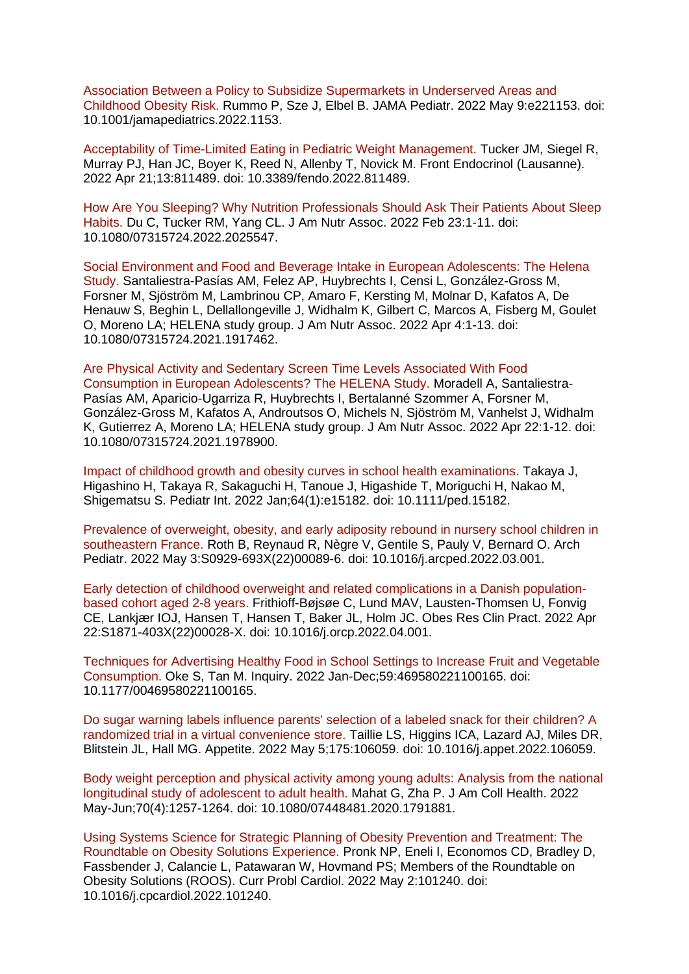[Association Between a Policy to Subsidize Supermarkets in Underserved Areas and](https://eur03.safelinks.protection.outlook.com/?url=https%3A%2F%2Fpubmed.ncbi.nlm.nih.gov%2F35532919%2F&data=05%7C01%7CMaggie.Graham%40dhsc.gov.uk%7C413d873933584916ad2408da4d3288dd%7C61278c3091a84c318c1fef4de8973a1c%7C1%7C0%7C637907176673646019%7CUnknown%7CTWFpbGZsb3d8eyJWIjoiMC4wLjAwMDAiLCJQIjoiV2luMzIiLCJBTiI6Ik1haWwiLCJXVCI6Mn0%3D%7C3000%7C%7C%7C&sdata=xbQKkSEWqwMcl5uxXsH9%2BlUzOTuz1%2BpLBw%2BQBM1P7y0%3D&reserved=0)  [Childhood Obesity Risk. R](https://eur03.safelinks.protection.outlook.com/?url=https%3A%2F%2Fpubmed.ncbi.nlm.nih.gov%2F35532919%2F&data=05%7C01%7CMaggie.Graham%40dhsc.gov.uk%7C413d873933584916ad2408da4d3288dd%7C61278c3091a84c318c1fef4de8973a1c%7C1%7C0%7C637907176673646019%7CUnknown%7CTWFpbGZsb3d8eyJWIjoiMC4wLjAwMDAiLCJQIjoiV2luMzIiLCJBTiI6Ik1haWwiLCJXVCI6Mn0%3D%7C3000%7C%7C%7C&sdata=xbQKkSEWqwMcl5uxXsH9%2BlUzOTuz1%2BpLBw%2BQBM1P7y0%3D&reserved=0)ummo P, Sze J, Elbel B. JAMA Pediatr. 2022 May 9:e221153. doi: 10.1001/jamapediatrics.2022.1153.

[Acceptability of Time-Limited Eating in Pediatric Weight Management. T](https://eur03.safelinks.protection.outlook.com/?url=https%3A%2F%2Fpubmed.ncbi.nlm.nih.gov%2F35527997%2F&data=05%7C01%7CMaggie.Graham%40dhsc.gov.uk%7C413d873933584916ad2408da4d3288dd%7C61278c3091a84c318c1fef4de8973a1c%7C1%7C0%7C637907176673646019%7CUnknown%7CTWFpbGZsb3d8eyJWIjoiMC4wLjAwMDAiLCJQIjoiV2luMzIiLCJBTiI6Ik1haWwiLCJXVCI6Mn0%3D%7C3000%7C%7C%7C&sdata=EB1VH07MFhYoiV5REBr8Q0%2FCS%2FNBW1heDOMxh6du51M%3D&reserved=0)ucker JM, Siegel R, Murray PJ, Han JC, Boyer K, Reed N, Allenby T, Novick M. Front Endocrinol (Lausanne). 2022 Apr 21;13:811489. doi: 10.3389/fendo.2022.811489.

[How Are You Sleeping? Why Nutrition Professionals Should Ask Their Patients About Sleep](https://eur03.safelinks.protection.outlook.com/?url=https%3A%2F%2Fpubmed.ncbi.nlm.nih.gov%2F35512763%2F&data=05%7C01%7CMaggie.Graham%40dhsc.gov.uk%7C413d873933584916ad2408da4d3288dd%7C61278c3091a84c318c1fef4de8973a1c%7C1%7C0%7C637907176673646019%7CUnknown%7CTWFpbGZsb3d8eyJWIjoiMC4wLjAwMDAiLCJQIjoiV2luMzIiLCJBTiI6Ik1haWwiLCJXVCI6Mn0%3D%7C3000%7C%7C%7C&sdata=qRibDIW4LKsjPTy6cEcaawGKcwdl0kfh7opoEZ5lI0E%3D&reserved=0)  [Habits. D](https://eur03.safelinks.protection.outlook.com/?url=https%3A%2F%2Fpubmed.ncbi.nlm.nih.gov%2F35512763%2F&data=05%7C01%7CMaggie.Graham%40dhsc.gov.uk%7C413d873933584916ad2408da4d3288dd%7C61278c3091a84c318c1fef4de8973a1c%7C1%7C0%7C637907176673646019%7CUnknown%7CTWFpbGZsb3d8eyJWIjoiMC4wLjAwMDAiLCJQIjoiV2luMzIiLCJBTiI6Ik1haWwiLCJXVCI6Mn0%3D%7C3000%7C%7C%7C&sdata=qRibDIW4LKsjPTy6cEcaawGKcwdl0kfh7opoEZ5lI0E%3D&reserved=0)u C, Tucker RM, Yang CL. J Am Nutr Assoc. 2022 Feb 23:1-11. doi: 10.1080/07315724.2022.2025547.

[Social Environment and Food and Beverage Intake in European Adolescents: The Helena](https://eur03.safelinks.protection.outlook.com/?url=https%3A%2F%2Fpubmed.ncbi.nlm.nih.gov%2F35512772%2F&data=05%7C01%7CMaggie.Graham%40dhsc.gov.uk%7C413d873933584916ad2408da4d3288dd%7C61278c3091a84c318c1fef4de8973a1c%7C1%7C0%7C637907176673646019%7CUnknown%7CTWFpbGZsb3d8eyJWIjoiMC4wLjAwMDAiLCJQIjoiV2luMzIiLCJBTiI6Ik1haWwiLCJXVCI6Mn0%3D%7C3000%7C%7C%7C&sdata=5nXuMeaqh9udWVwIlhAt1Pmmb49K9N6nGuH2rMPRGmM%3D&reserved=0)  [Study. S](https://eur03.safelinks.protection.outlook.com/?url=https%3A%2F%2Fpubmed.ncbi.nlm.nih.gov%2F35512772%2F&data=05%7C01%7CMaggie.Graham%40dhsc.gov.uk%7C413d873933584916ad2408da4d3288dd%7C61278c3091a84c318c1fef4de8973a1c%7C1%7C0%7C637907176673646019%7CUnknown%7CTWFpbGZsb3d8eyJWIjoiMC4wLjAwMDAiLCJQIjoiV2luMzIiLCJBTiI6Ik1haWwiLCJXVCI6Mn0%3D%7C3000%7C%7C%7C&sdata=5nXuMeaqh9udWVwIlhAt1Pmmb49K9N6nGuH2rMPRGmM%3D&reserved=0)antaliestra-Pasías AM, Felez AP, Huybrechts I, Censi L, González-Gross M, Forsner M, Sjöström M, Lambrinou CP, Amaro F, Kersting M, Molnar D, Kafatos A, De Henauw S, Beghin L, Dellallongeville J, Widhalm K, Gilbert C, Marcos A, Fisberg M, Goulet O, Moreno LA; HELENA study group. J Am Nutr Assoc. 2022 Apr 4:1-13. doi: 10.1080/07315724.2021.1917462.

## [Are Physical Activity and Sedentary Screen Time Levels Associated With Food](https://eur03.safelinks.protection.outlook.com/?url=https%3A%2F%2Fpubmed.ncbi.nlm.nih.gov%2F35512776%2F&data=05%7C01%7CMaggie.Graham%40dhsc.gov.uk%7C413d873933584916ad2408da4d3288dd%7C61278c3091a84c318c1fef4de8973a1c%7C1%7C0%7C637907176673646019%7CUnknown%7CTWFpbGZsb3d8eyJWIjoiMC4wLjAwMDAiLCJQIjoiV2luMzIiLCJBTiI6Ik1haWwiLCJXVCI6Mn0%3D%7C3000%7C%7C%7C&sdata=s53%2BwV9Rh4570Klga9QPNF4ILvfsDLZn2yoxj98ceHU%3D&reserved=0)

[Consumption in European Adolescents? The HELENA Study. M](https://eur03.safelinks.protection.outlook.com/?url=https%3A%2F%2Fpubmed.ncbi.nlm.nih.gov%2F35512776%2F&data=05%7C01%7CMaggie.Graham%40dhsc.gov.uk%7C413d873933584916ad2408da4d3288dd%7C61278c3091a84c318c1fef4de8973a1c%7C1%7C0%7C637907176673646019%7CUnknown%7CTWFpbGZsb3d8eyJWIjoiMC4wLjAwMDAiLCJQIjoiV2luMzIiLCJBTiI6Ik1haWwiLCJXVCI6Mn0%3D%7C3000%7C%7C%7C&sdata=s53%2BwV9Rh4570Klga9QPNF4ILvfsDLZn2yoxj98ceHU%3D&reserved=0)oradell A, Santaliestra-Pasías AM, Aparicio-Ugarriza R, Huybrechts I, Bertalanné Szommer A, Forsner M, González-Gross M, Kafatos A, Androutsos O, Michels N, Sjöström M, Vanhelst J, Widhalm K, Gutierrez A, Moreno LA; HELENA study group. J Am Nutr Assoc. 2022 Apr 22:1-12. doi: 10.1080/07315724.2021.1978900.

[Impact of childhood growth and obesity curves in school health examinations. T](https://eur03.safelinks.protection.outlook.com/?url=https%3A%2F%2Fpubmed.ncbi.nlm.nih.gov%2F35522831%2F&data=05%7C01%7CMaggie.Graham%40dhsc.gov.uk%7C413d873933584916ad2408da4d3288dd%7C61278c3091a84c318c1fef4de8973a1c%7C1%7C0%7C637907176673646019%7CUnknown%7CTWFpbGZsb3d8eyJWIjoiMC4wLjAwMDAiLCJQIjoiV2luMzIiLCJBTiI6Ik1haWwiLCJXVCI6Mn0%3D%7C3000%7C%7C%7C&sdata=6iViiW3uzom78qUtA6xQ%2BA6g5xBSvM%2FCnn%2FWT%2FPwXsU%3D&reserved=0)akaya J, Higashino H, Takaya R, Sakaguchi H, Tanoue J, Higashide T, Moriguchi H, Nakao M, Shigematsu S. Pediatr Int. 2022 Jan;64(1):e15182. doi: 10.1111/ped.15182.

[Prevalence of overweight, obesity, and early adiposity rebound in nursery school children in](https://eur03.safelinks.protection.outlook.com/?url=https%3A%2F%2Fpubmed.ncbi.nlm.nih.gov%2F35523635%2F&data=05%7C01%7CMaggie.Graham%40dhsc.gov.uk%7C413d873933584916ad2408da4d3288dd%7C61278c3091a84c318c1fef4de8973a1c%7C1%7C0%7C637907176673646019%7CUnknown%7CTWFpbGZsb3d8eyJWIjoiMC4wLjAwMDAiLCJQIjoiV2luMzIiLCJBTiI6Ik1haWwiLCJXVCI6Mn0%3D%7C3000%7C%7C%7C&sdata=vPnfmA4U2P%2BSCBKwARUlsbhKYO5rRcP9V2N0km8499k%3D&reserved=0)  [southeastern France. R](https://eur03.safelinks.protection.outlook.com/?url=https%3A%2F%2Fpubmed.ncbi.nlm.nih.gov%2F35523635%2F&data=05%7C01%7CMaggie.Graham%40dhsc.gov.uk%7C413d873933584916ad2408da4d3288dd%7C61278c3091a84c318c1fef4de8973a1c%7C1%7C0%7C637907176673646019%7CUnknown%7CTWFpbGZsb3d8eyJWIjoiMC4wLjAwMDAiLCJQIjoiV2luMzIiLCJBTiI6Ik1haWwiLCJXVCI6Mn0%3D%7C3000%7C%7C%7C&sdata=vPnfmA4U2P%2BSCBKwARUlsbhKYO5rRcP9V2N0km8499k%3D&reserved=0)oth B, Reynaud R, Nègre V, Gentile S, Pauly V, Bernard O. Arch Pediatr. 2022 May 3:S0929-693X(22)00089-6. doi: 10.1016/j.arcped.2022.03.001.

[Early detection of childhood overweight and related complications in a Danish population](https://eur03.safelinks.protection.outlook.com/?url=https%3A%2F%2Fpubmed.ncbi.nlm.nih.gov%2F35514021%2F&data=05%7C01%7CMaggie.Graham%40dhsc.gov.uk%7C413d873933584916ad2408da4d3288dd%7C61278c3091a84c318c1fef4de8973a1c%7C1%7C0%7C637907176673646019%7CUnknown%7CTWFpbGZsb3d8eyJWIjoiMC4wLjAwMDAiLCJQIjoiV2luMzIiLCJBTiI6Ik1haWwiLCJXVCI6Mn0%3D%7C3000%7C%7C%7C&sdata=AP8K1FJqO5wO%2FCasbfME9gFPfp%2Bs%2FxH84HM57lLZEog%3D&reserved=0)[based cohort aged 2-8 years. F](https://eur03.safelinks.protection.outlook.com/?url=https%3A%2F%2Fpubmed.ncbi.nlm.nih.gov%2F35514021%2F&data=05%7C01%7CMaggie.Graham%40dhsc.gov.uk%7C413d873933584916ad2408da4d3288dd%7C61278c3091a84c318c1fef4de8973a1c%7C1%7C0%7C637907176673646019%7CUnknown%7CTWFpbGZsb3d8eyJWIjoiMC4wLjAwMDAiLCJQIjoiV2luMzIiLCJBTiI6Ik1haWwiLCJXVCI6Mn0%3D%7C3000%7C%7C%7C&sdata=AP8K1FJqO5wO%2FCasbfME9gFPfp%2Bs%2FxH84HM57lLZEog%3D&reserved=0)rithioff-Bøjsøe C, Lund MAV, Lausten-Thomsen U, Fonvig CE, Lankjær IOJ, Hansen T, Hansen T, Baker JL, Holm JC. Obes Res Clin Pract. 2022 Apr 22:S1871-403X(22)00028-X. doi: 10.1016/j.orcp.2022.04.001.

[Techniques for Advertising Healthy Food in School Settings to Increase Fruit and Vegetable](https://eur03.safelinks.protection.outlook.com/?url=https%3A%2F%2Fpubmed.ncbi.nlm.nih.gov%2F35511550%2F&data=05%7C01%7CMaggie.Graham%40dhsc.gov.uk%7C413d873933584916ad2408da4d3288dd%7C61278c3091a84c318c1fef4de8973a1c%7C1%7C0%7C637907176673646019%7CUnknown%7CTWFpbGZsb3d8eyJWIjoiMC4wLjAwMDAiLCJQIjoiV2luMzIiLCJBTiI6Ik1haWwiLCJXVCI6Mn0%3D%7C3000%7C%7C%7C&sdata=liE5qe7lelJULUzeq2I%2BE0gk7APlTBwMhSub%2B1gys4c%3D&reserved=0)  [Consumption. O](https://eur03.safelinks.protection.outlook.com/?url=https%3A%2F%2Fpubmed.ncbi.nlm.nih.gov%2F35511550%2F&data=05%7C01%7CMaggie.Graham%40dhsc.gov.uk%7C413d873933584916ad2408da4d3288dd%7C61278c3091a84c318c1fef4de8973a1c%7C1%7C0%7C637907176673646019%7CUnknown%7CTWFpbGZsb3d8eyJWIjoiMC4wLjAwMDAiLCJQIjoiV2luMzIiLCJBTiI6Ik1haWwiLCJXVCI6Mn0%3D%7C3000%7C%7C%7C&sdata=liE5qe7lelJULUzeq2I%2BE0gk7APlTBwMhSub%2B1gys4c%3D&reserved=0)ke S, Tan M. Inquiry. 2022 Jan-Dec;59:469580221100165. doi: 10.1177/00469580221100165.

[Do sugar warning labels influence parents' selection of a labeled snack for their children? A](https://eur03.safelinks.protection.outlook.com/?url=https%3A%2F%2Fpubmed.ncbi.nlm.nih.gov%2F35526703%2F&data=05%7C01%7CMaggie.Graham%40dhsc.gov.uk%7C413d873933584916ad2408da4d3288dd%7C61278c3091a84c318c1fef4de8973a1c%7C1%7C0%7C637907176673646019%7CUnknown%7CTWFpbGZsb3d8eyJWIjoiMC4wLjAwMDAiLCJQIjoiV2luMzIiLCJBTiI6Ik1haWwiLCJXVCI6Mn0%3D%7C3000%7C%7C%7C&sdata=fEDCEvX1eFQ2TPfuj%2Bqexo8zDvChZG5wpcHhn961tC8%3D&reserved=0)  [randomized trial in a virtual convenience store. T](https://eur03.safelinks.protection.outlook.com/?url=https%3A%2F%2Fpubmed.ncbi.nlm.nih.gov%2F35526703%2F&data=05%7C01%7CMaggie.Graham%40dhsc.gov.uk%7C413d873933584916ad2408da4d3288dd%7C61278c3091a84c318c1fef4de8973a1c%7C1%7C0%7C637907176673646019%7CUnknown%7CTWFpbGZsb3d8eyJWIjoiMC4wLjAwMDAiLCJQIjoiV2luMzIiLCJBTiI6Ik1haWwiLCJXVCI6Mn0%3D%7C3000%7C%7C%7C&sdata=fEDCEvX1eFQ2TPfuj%2Bqexo8zDvChZG5wpcHhn961tC8%3D&reserved=0)aillie LS, Higgins ICA, Lazard AJ, Miles DR, Blitstein JL, Hall MG. Appetite. 2022 May 5;175:106059. doi: 10.1016/j.appet.2022.106059.

[Body weight perception and physical activity among young adults: Analysis from the national](https://eur03.safelinks.protection.outlook.com/?url=https%3A%2F%2Fpubmed.ncbi.nlm.nih.gov%2F32721187%2F&data=05%7C01%7CMaggie.Graham%40dhsc.gov.uk%7C413d873933584916ad2408da4d3288dd%7C61278c3091a84c318c1fef4de8973a1c%7C1%7C0%7C637907176673646019%7CUnknown%7CTWFpbGZsb3d8eyJWIjoiMC4wLjAwMDAiLCJQIjoiV2luMzIiLCJBTiI6Ik1haWwiLCJXVCI6Mn0%3D%7C3000%7C%7C%7C&sdata=i6OLI5yfIo0dSc5VwShfFQh5lW7V%2BwGFCroyV15pCmg%3D&reserved=0)  [longitudinal study of adolescent to adult health. M](https://eur03.safelinks.protection.outlook.com/?url=https%3A%2F%2Fpubmed.ncbi.nlm.nih.gov%2F32721187%2F&data=05%7C01%7CMaggie.Graham%40dhsc.gov.uk%7C413d873933584916ad2408da4d3288dd%7C61278c3091a84c318c1fef4de8973a1c%7C1%7C0%7C637907176673646019%7CUnknown%7CTWFpbGZsb3d8eyJWIjoiMC4wLjAwMDAiLCJQIjoiV2luMzIiLCJBTiI6Ik1haWwiLCJXVCI6Mn0%3D%7C3000%7C%7C%7C&sdata=i6OLI5yfIo0dSc5VwShfFQh5lW7V%2BwGFCroyV15pCmg%3D&reserved=0)ahat G, Zha P. J Am Coll Health. 2022 May-Jun;70(4):1257-1264. doi: 10.1080/07448481.2020.1791881.

[Using Systems Science for Strategic Planning of Obesity Prevention and Treatment: The](https://eur03.safelinks.protection.outlook.com/?url=https%3A%2F%2Fpubmed.ncbi.nlm.nih.gov%2F35513185%2F&data=05%7C01%7CMaggie.Graham%40dhsc.gov.uk%7C413d873933584916ad2408da4d3288dd%7C61278c3091a84c318c1fef4de8973a1c%7C1%7C0%7C637907176673646019%7CUnknown%7CTWFpbGZsb3d8eyJWIjoiMC4wLjAwMDAiLCJQIjoiV2luMzIiLCJBTiI6Ik1haWwiLCJXVCI6Mn0%3D%7C3000%7C%7C%7C&sdata=eDIPyqh8rp7w8PMT6cggtFD6HN3vXXFpVvPZNPQnxbE%3D&reserved=0)  [Roundtable on Obesity Solutions Experience. P](https://eur03.safelinks.protection.outlook.com/?url=https%3A%2F%2Fpubmed.ncbi.nlm.nih.gov%2F35513185%2F&data=05%7C01%7CMaggie.Graham%40dhsc.gov.uk%7C413d873933584916ad2408da4d3288dd%7C61278c3091a84c318c1fef4de8973a1c%7C1%7C0%7C637907176673646019%7CUnknown%7CTWFpbGZsb3d8eyJWIjoiMC4wLjAwMDAiLCJQIjoiV2luMzIiLCJBTiI6Ik1haWwiLCJXVCI6Mn0%3D%7C3000%7C%7C%7C&sdata=eDIPyqh8rp7w8PMT6cggtFD6HN3vXXFpVvPZNPQnxbE%3D&reserved=0)ronk NP, Eneli I, Economos CD, Bradley D, Fassbender J, Calancie L, Patawaran W, Hovmand PS; Members of the Roundtable on Obesity Solutions (ROOS). Curr Probl Cardiol. 2022 May 2:101240. doi: 10.1016/j.cpcardiol.2022.101240.